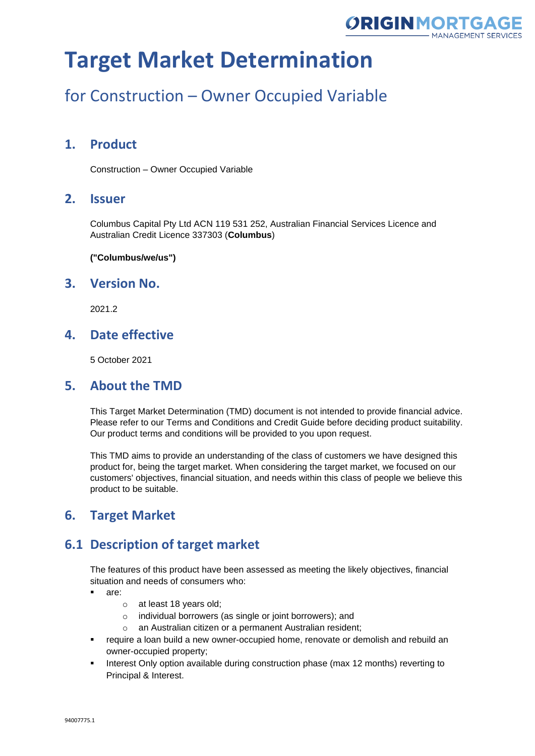

## for Construction – Owner Occupied Variable

### **1. Product**

Construction – Owner Occupied Variable

#### **2. Issuer**

Columbus Capital Pty Ltd ACN 119 531 252, Australian Financial Services Licence and Australian Credit Licence 337303 (**Columbus**)

**("Columbus/we/us")**

#### **3. Version No.**

2021.2

### **4. Date effective**

5 October 2021

#### **5. About the TMD**

This Target Market Determination (TMD) document is not intended to provide financial advice. Please refer to our Terms and Conditions and Credit Guide before deciding product suitability. Our product terms and conditions will be provided to you upon request.

This TMD aims to provide an understanding of the class of customers we have designed this product for, being the target market. When considering the target market, we focused on our customers' objectives, financial situation, and needs within this class of people we believe this product to be suitable.

### **6. Target Market**

### **6.1 Description of target market**

The features of this product have been assessed as meeting the likely objectives, financial situation and needs of consumers who:

- are:
	- o at least 18 years old;
	- o individual borrowers (as single or joint borrowers); and
	- o an Australian citizen or a permanent Australian resident;
- require a loan build a new owner-occupied home, renovate or demolish and rebuild an owner-occupied property;
- Interest Only option available during construction phase (max 12 months) reverting to Principal & Interest.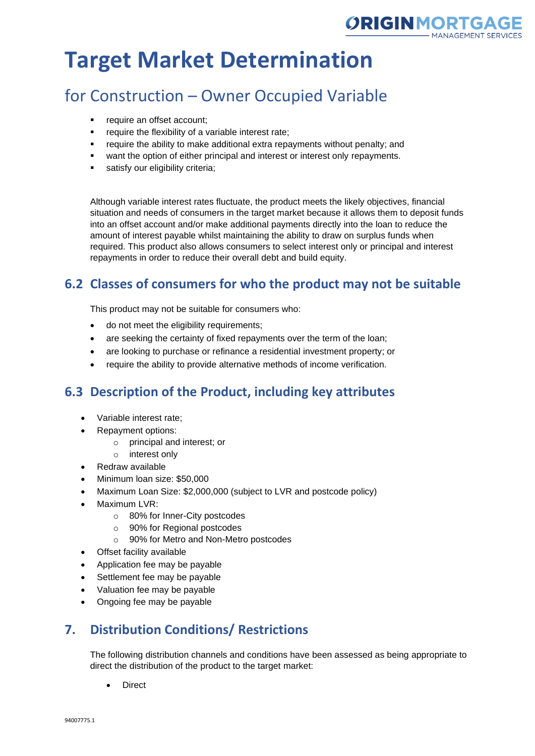

## for Construction – Owner Occupied Variable

- require an offset account;
- require the flexibility of a variable interest rate;
- require the ability to make additional extra repayments without penalty; and
- want the option of either principal and interest or interest only repayments.
- **■** satisfy our eligibility criteria;

Although variable interest rates fluctuate, the product meets the likely objectives, financial situation and needs of consumers in the target market because it allows them to deposit funds into an offset account and/or make additional payments directly into the loan to reduce the amount of interest payable whilst maintaining the ability to draw on surplus funds when required. This product also allows consumers to select interest only or principal and interest repayments in order to reduce their overall debt and build equity.

## **6.2 Classes of consumers for who the product may not be suitable**

This product may not be suitable for consumers who:

- do not meet the eligibility requirements;
- are seeking the certainty of fixed repayments over the term of the loan;
- are looking to purchase or refinance a residential investment property; or
- require the ability to provide alternative methods of income verification.

## **6.3 Description of the Product, including key attributes**

- Variable interest rate;
- Repayment options:
	- o principal and interest; or
	- o interest only
- Redraw available
- Minimum loan size: \$50,000
- Maximum Loan Size: \$2,000,000 (subject to LVR and postcode policy)
- Maximum LVR:
	- o 80% for Inner-City postcodes
	- o 90% for Regional postcodes
	- o 90% for Metro and Non-Metro postcodes
- Offset facility available
- Application fee may be payable
- Settlement fee may be payable
- Valuation fee may be payable
- Ongoing fee may be payable

## **7. Distribution Conditions/ Restrictions**

The following distribution channels and conditions have been assessed as being appropriate to direct the distribution of the product to the target market:

**Direct**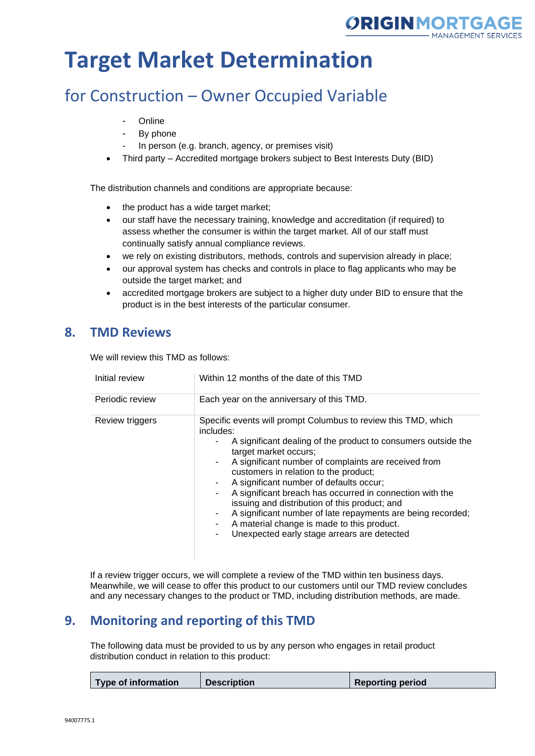

## for Construction – Owner Occupied Variable

- Online
- By phone
- In person (e.g. branch, agency, or premises visit)
- Third party Accredited mortgage brokers subject to Best Interests Duty (BID)

The distribution channels and conditions are appropriate because:

- the product has a wide target market;
- our staff have the necessary training, knowledge and accreditation (if required) to assess whether the consumer is within the target market. All of our staff must continually satisfy annual compliance reviews.
- we rely on existing distributors, methods, controls and supervision already in place;
- our approval system has checks and controls in place to flag applicants who may be outside the target market; and
- accredited mortgage brokers are subject to a higher duty under BID to ensure that the product is in the best interests of the particular consumer.

### **8. TMD Reviews**

We will review this TMD as follows:

| Initial review  | Within 12 months of the date of this TMD                                                                                                                                                                                                                                                                                                                                                                                                                                                                                                                                                   |  |
|-----------------|--------------------------------------------------------------------------------------------------------------------------------------------------------------------------------------------------------------------------------------------------------------------------------------------------------------------------------------------------------------------------------------------------------------------------------------------------------------------------------------------------------------------------------------------------------------------------------------------|--|
| Periodic review | Each year on the anniversary of this TMD.                                                                                                                                                                                                                                                                                                                                                                                                                                                                                                                                                  |  |
| Review triggers | Specific events will prompt Columbus to review this TMD, which<br>includes:<br>A significant dealing of the product to consumers outside the<br>target market occurs;<br>A significant number of complaints are received from<br>customers in relation to the product;<br>A significant number of defaults occur;<br>A significant breach has occurred in connection with the<br>issuing and distribution of this product; and<br>A significant number of late repayments are being recorded;<br>A material change is made to this product.<br>Unexpected early stage arrears are detected |  |

If a review trigger occurs, we will complete a review of the TMD within ten business days. Meanwhile, we will cease to offer this product to our customers until our TMD review concludes and any necessary changes to the product or TMD, including distribution methods, are made.

### **9. Monitoring and reporting of this TMD**

The following data must be provided to us by any person who engages in retail product distribution conduct in relation to this product:

| Type of information<br><b>Description</b><br><b>Reporting period</b> |
|----------------------------------------------------------------------|
|----------------------------------------------------------------------|